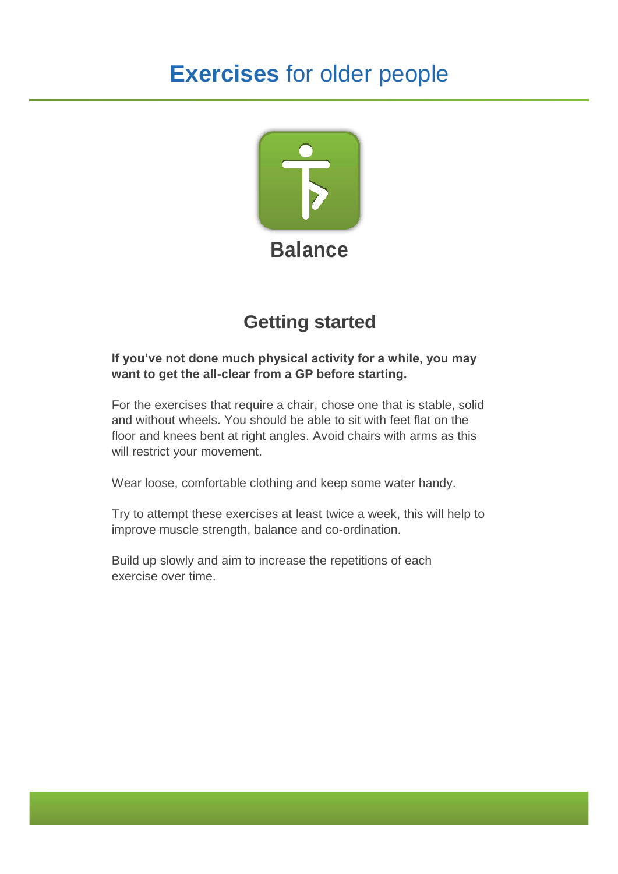# **Exercises** for older people



## **Getting started**

#### **If you've not done much physical activity for a while, you may want to get the all-clear from a GP before starting.**

For the exercises that require a chair, chose one that is stable, solid and without wheels. You should be able to sit with feet flat on the floor and knees bent at right angles. Avoid chairs with arms as this will restrict your movement.

Wear loose, comfortable clothing and keep some water handy.

Try to attempt these exercises at least twice a week, this will help to improve muscle strength, balance and co-ordination.

Build up slowly and aim to increase the repetitions of each exercise over time.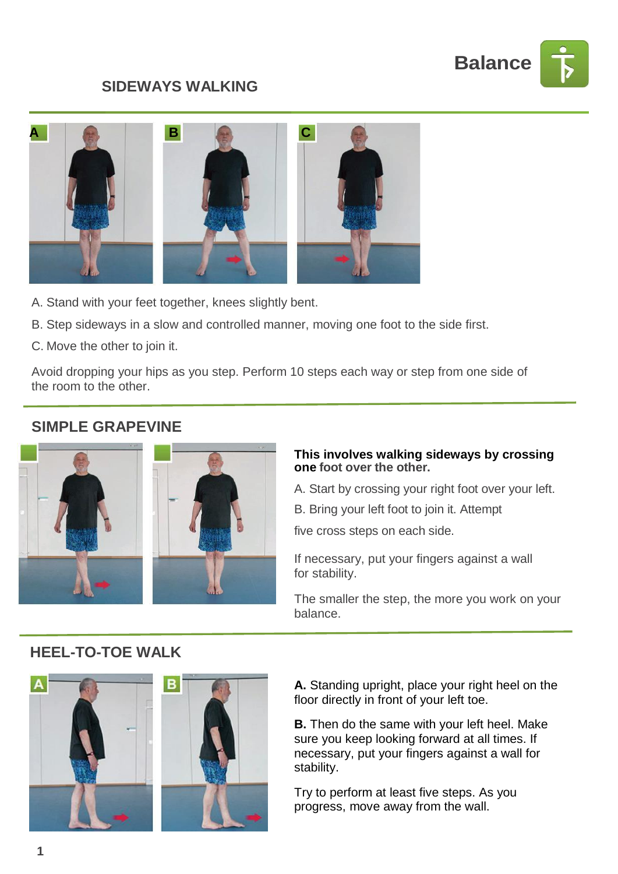

## **SIDEWAYS WALKING**



- A. Stand with your feet together, knees slightly bent.
- B. Step sideways in a slow and controlled manner, moving one foot to the side first.
- C. Move the other to join it.

Avoid dropping your hips as you step. Perform 10 steps each way or step from one side of the room to the other.

## **SIMPLE GRAPEVINE**





#### **This involves walking sideways by crossing one foot over the other.**

- A. Start by crossing your right foot over your left.
- B. Bring your left foot to join it. Attempt

five cross steps on each side.

If necessary, put your fingers against a wall for stability.

The smaller the step, the more you work on your balance.

### **HEEL-TO-TOE WALK**



**A.** Standing upright, place your right heel on the floor directly in front of your left toe.

**B.** Then do the same with your left heel. Make sure you keep looking forward at all times. If necessary, put your fingers against a wall for stability.

Try to perform at least five steps. As you progress, move away from the wall.